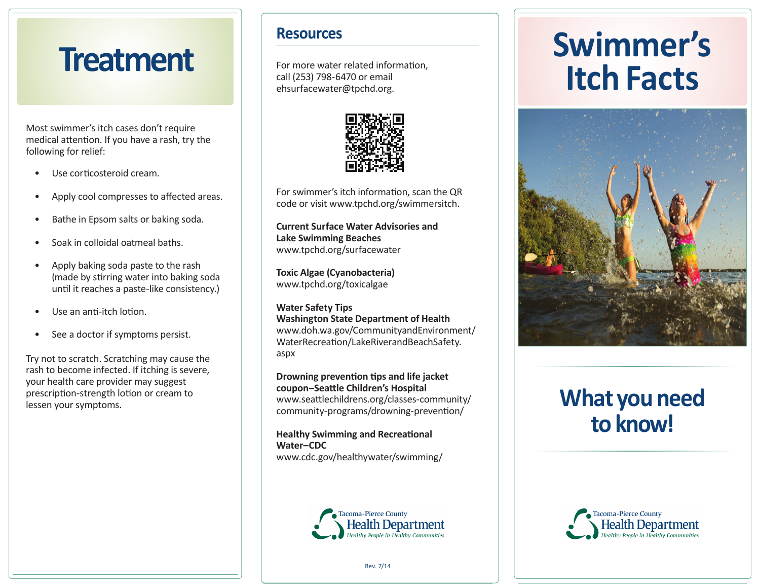# **Treatment**

Most swimmer's itch cases don't require medical attention. If you have a rash, try the following for relief:

- Use corticosteroid cream.
- Apply cool compresses to affected areas.
- Bathe in Epsom salts or baking soda.
- Soak in colloidal oatmeal baths.
- Apply baking soda paste to the rash (made by stirring water into baking soda until it reaches a paste-like consistency.)
- Use an anti-itch lotion.
- See a doctor if symptoms persist.

Try not to scratch. Scratching may cause the rash to become infected. If itching is severe, your health care provider may suggest prescription-strength lotion or cream to lessen your symptoms.

### **Resources**

For more water related information, call (253) 798-6470 or emailehsurfacewater@tpchd.org.



For swimmer's itch information, scan the QR code or visit www.tpchd.org/swimmersitch.

**Current Surface Water Advisories and Lake Swimming Beaches**www.tpchd.org/surfacewater

**Toxic Algae (Cyanobacteria)**www.tpchd.org/toxicalgae

**Water Safety Tips Washington State Department of Health** www.doh.wa.gov/CommunityandEnvironment/WaterRecreation/LakeRiverandBeachSafety. aspx

**Drowning prevention tips and life jacket** coupon-Seattle Children's Hospital www.seattlechildrens.org/classes-community/ community-programs/drowning-prevention/

**Healthy Swimming and Recreational Water–CDC**www.cdc.gov/healthywater/swimming/



# **Swimmer'sItch Facts**



# **What you needto know!**